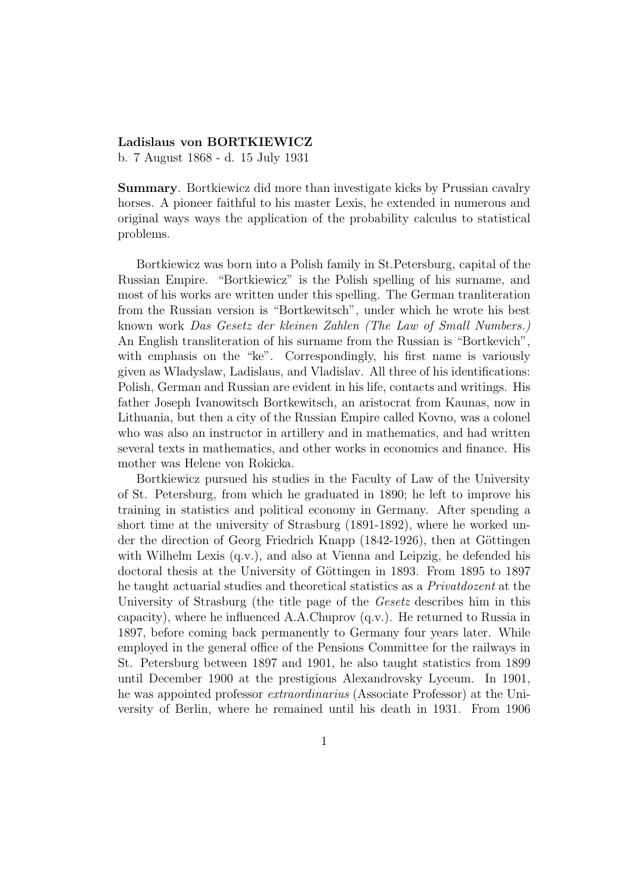## Ladislaus von BORTKIEWICZ

b. 7 August 1868 - d. 15 July 1931

Summary. Bortkiewicz did more than investigate kicks by Prussian cavalry horses. A pioneer faithful to his master Lexis, he extended in numerous and original ways ways the application of the probability calculus to statistical problems.

Bortkiewicz was born into a Polish family in St.Petersburg, capital of the Russian Empire. "Bortkiewicz" is the Polish spelling of his surname, and most of his works are written under this spelling. The German tranliteration from the Russian version is "Bortkewitsch", under which he wrote his best known work Das Gesetz der kleinen Zahlen (The Law of Small Numbers.) An English transliteration of his surname from the Russian is "Bortkevich", with emphasis on the "ke". Correspondingly, his first name is variously given as Wladyslaw, Ladislaus, and Vladislav. All three of his identifications: Polish, German and Russian are evident in his life, contacts and writings. His father Joseph Ivanowitsch Bortkewitsch, an aristocrat from Kaunas, now in Lithuania, but then a city of the Russian Empire called Kovno, was a colonel who was also an instructor in artillery and in mathematics, and had written several texts in mathematics, and other works in economics and finance. His mother was Helene von Rokicka.

Bortkiewicz pursued his studies in the Faculty of Law of the University of St. Petersburg, from which he graduated in 1890; he left to improve his training in statistics and political economy in Germany. After spending a short time at the university of Strasburg (1891-1892), where he worked under the direction of Georg Friedrich Knapp (1842-1926), then at Göttingen with Wilhelm Lexis (q.v.), and also at Vienna and Leipzig, he defended his doctoral thesis at the University of Göttingen in 1893. From 1895 to 1897 he taught actuarial studies and theoretical statistics as a Privatdozent at the University of Strasburg (the title page of the Gesetz describes him in this capacity), where he influenced A.A.Chuprov (q.v.). He returned to Russia in 1897, before coming back permanently to Germany four years later. While employed in the general office of the Pensions Committee for the railways in St. Petersburg between 1897 and 1901, he also taught statistics from 1899 until December 1900 at the prestigious Alexandrovsky Lyceum. In 1901, he was appointed professor extraordinarius (Associate Professor) at the University of Berlin, where he remained until his death in 1931. From 1906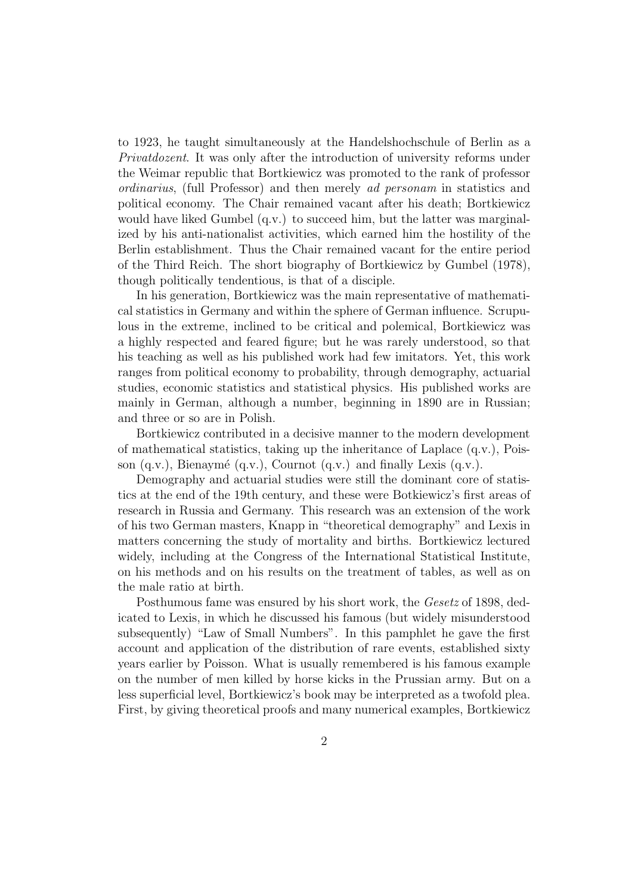to 1923, he taught simultaneously at the Handelshochschule of Berlin as a Privatdozent. It was only after the introduction of university reforms under the Weimar republic that Bortkiewicz was promoted to the rank of professor ordinarius, (full Professor) and then merely ad personam in statistics and political economy. The Chair remained vacant after his death; Bortkiewicz would have liked Gumbel (q.v.) to succeed him, but the latter was marginalized by his anti-nationalist activities, which earned him the hostility of the Berlin establishment. Thus the Chair remained vacant for the entire period of the Third Reich. The short biography of Bortkiewicz by Gumbel (1978), though politically tendentious, is that of a disciple.

In his generation, Bortkiewicz was the main representative of mathematical statistics in Germany and within the sphere of German influence. Scrupulous in the extreme, inclined to be critical and polemical, Bortkiewicz was a highly respected and feared figure; but he was rarely understood, so that his teaching as well as his published work had few imitators. Yet, this work ranges from political economy to probability, through demography, actuarial studies, economic statistics and statistical physics. His published works are mainly in German, although a number, beginning in 1890 are in Russian; and three or so are in Polish.

Bortkiewicz contributed in a decisive manner to the modern development of mathematical statistics, taking up the inheritance of Laplace  $(q.v.)$ , Poisson  $(q.v.)$ , Bienaymé  $(q.v.)$ , Cournot  $(q.v.)$  and finally Lexis  $(q.v.)$ .

Demography and actuarial studies were still the dominant core of statistics at the end of the 19th century, and these were Botkiewicz's first areas of research in Russia and Germany. This research was an extension of the work of his two German masters, Knapp in "theoretical demography" and Lexis in matters concerning the study of mortality and births. Bortkiewicz lectured widely, including at the Congress of the International Statistical Institute, on his methods and on his results on the treatment of tables, as well as on the male ratio at birth.

Posthumous fame was ensured by his short work, the *Gesetz* of 1898, dedicated to Lexis, in which he discussed his famous (but widely misunderstood subsequently) "Law of Small Numbers". In this pamphlet he gave the first account and application of the distribution of rare events, established sixty years earlier by Poisson. What is usually remembered is his famous example on the number of men killed by horse kicks in the Prussian army. But on a less superficial level, Bortkiewicz's book may be interpreted as a twofold plea. First, by giving theoretical proofs and many numerical examples, Bortkiewicz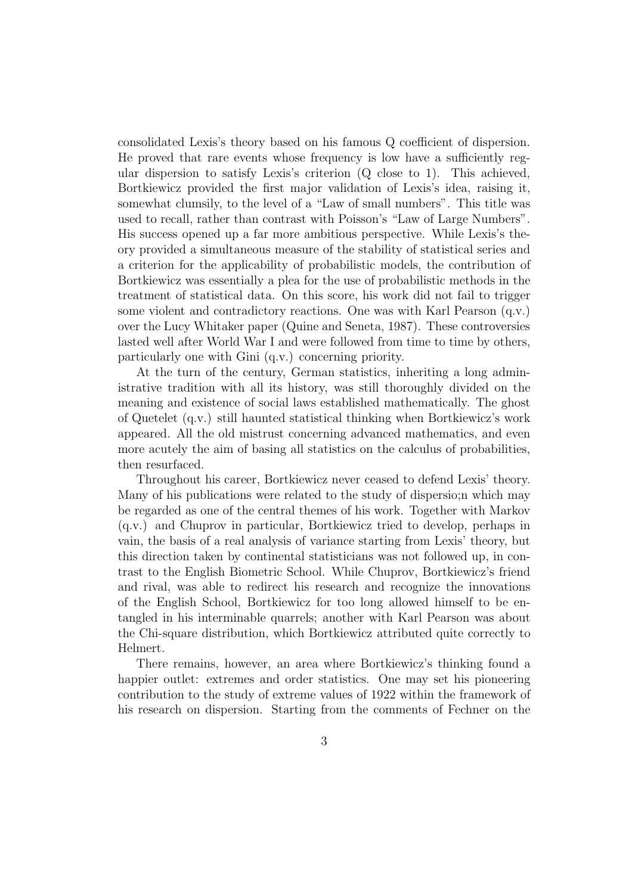consolidated Lexis's theory based on his famous Q coefficient of dispersion. He proved that rare events whose frequency is low have a sufficiently regular dispersion to satisfy Lexis's criterion (Q close to 1). This achieved, Bortkiewicz provided the first major validation of Lexis's idea, raising it, somewhat clumsily, to the level of a "Law of small numbers". This title was used to recall, rather than contrast with Poisson's "Law of Large Numbers". His success opened up a far more ambitious perspective. While Lexis's theory provided a simultaneous measure of the stability of statistical series and a criterion for the applicability of probabilistic models, the contribution of Bortkiewicz was essentially a plea for the use of probabilistic methods in the treatment of statistical data. On this score, his work did not fail to trigger some violent and contradictory reactions. One was with Karl Pearson  $(q, v)$ . over the Lucy Whitaker paper (Quine and Seneta, 1987). These controversies lasted well after World War I and were followed from time to time by others, particularly one with Gini (q.v.) concerning priority.

At the turn of the century, German statistics, inheriting a long administrative tradition with all its history, was still thoroughly divided on the meaning and existence of social laws established mathematically. The ghost of Quetelet (q.v.) still haunted statistical thinking when Bortkiewicz's work appeared. All the old mistrust concerning advanced mathematics, and even more acutely the aim of basing all statistics on the calculus of probabilities, then resurfaced.

Throughout his career, Bortkiewicz never ceased to defend Lexis' theory. Many of his publications were related to the study of dispersio;n which may be regarded as one of the central themes of his work. Together with Markov (q.v.) and Chuprov in particular, Bortkiewicz tried to develop, perhaps in vain, the basis of a real analysis of variance starting from Lexis' theory, but this direction taken by continental statisticians was not followed up, in contrast to the English Biometric School. While Chuprov, Bortkiewicz's friend and rival, was able to redirect his research and recognize the innovations of the English School, Bortkiewicz for too long allowed himself to be entangled in his interminable quarrels; another with Karl Pearson was about the Chi-square distribution, which Bortkiewicz attributed quite correctly to Helmert.

There remains, however, an area where Bortkiewicz's thinking found a happier outlet: extremes and order statistics. One may set his pioneering contribution to the study of extreme values of 1922 within the framework of his research on dispersion. Starting from the comments of Fechner on the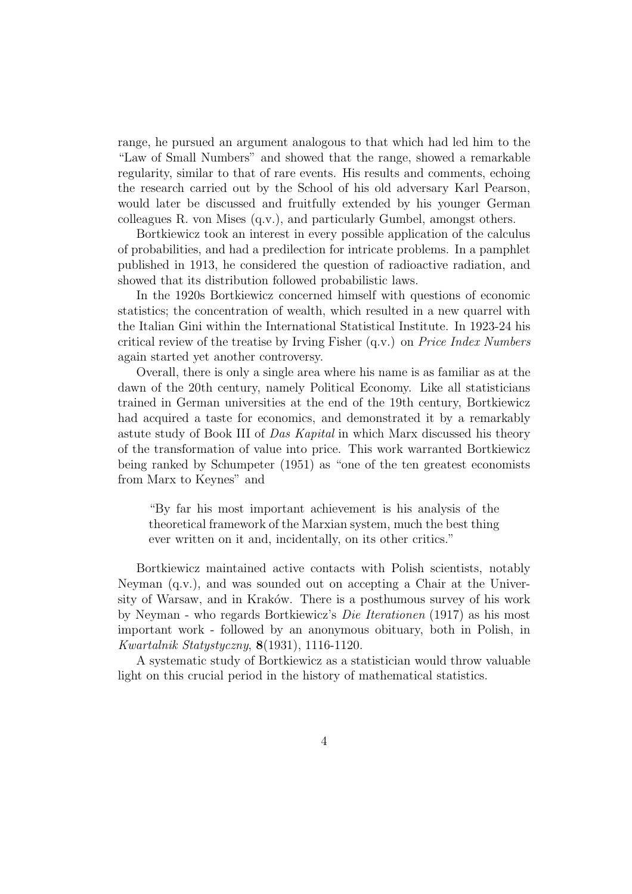range, he pursued an argument analogous to that which had led him to the "Law of Small Numbers" and showed that the range, showed a remarkable regularity, similar to that of rare events. His results and comments, echoing the research carried out by the School of his old adversary Karl Pearson, would later be discussed and fruitfully extended by his younger German colleagues R. von Mises (q.v.), and particularly Gumbel, amongst others.

Bortkiewicz took an interest in every possible application of the calculus of probabilities, and had a predilection for intricate problems. In a pamphlet published in 1913, he considered the question of radioactive radiation, and showed that its distribution followed probabilistic laws.

In the 1920s Bortkiewicz concerned himself with questions of economic statistics; the concentration of wealth, which resulted in a new quarrel with the Italian Gini within the International Statistical Institute. In 1923-24 his critical review of the treatise by Irving Fisher (q.v.) on Price Index Numbers again started yet another controversy.

Overall, there is only a single area where his name is as familiar as at the dawn of the 20th century, namely Political Economy. Like all statisticians trained in German universities at the end of the 19th century, Bortkiewicz had acquired a taste for economics, and demonstrated it by a remarkably astute study of Book III of Das Kapital in which Marx discussed his theory of the transformation of value into price. This work warranted Bortkiewicz being ranked by Schumpeter (1951) as "one of the ten greatest economists from Marx to Keynes" and

"By far his most important achievement is his analysis of the theoretical framework of the Marxian system, much the best thing ever written on it and, incidentally, on its other critics."

Bortkiewicz maintained active contacts with Polish scientists, notably Neyman (q.v.), and was sounded out on accepting a Chair at the University of Warsaw, and in Kraków. There is a posthumous survey of his work by Neyman - who regards Bortkiewicz's Die Iterationen (1917) as his most important work - followed by an anonymous obituary, both in Polish, in Kwartalnik Statystyczny, 8(1931), 1116-1120.

A systematic study of Bortkiewicz as a statistician would throw valuable light on this crucial period in the history of mathematical statistics.